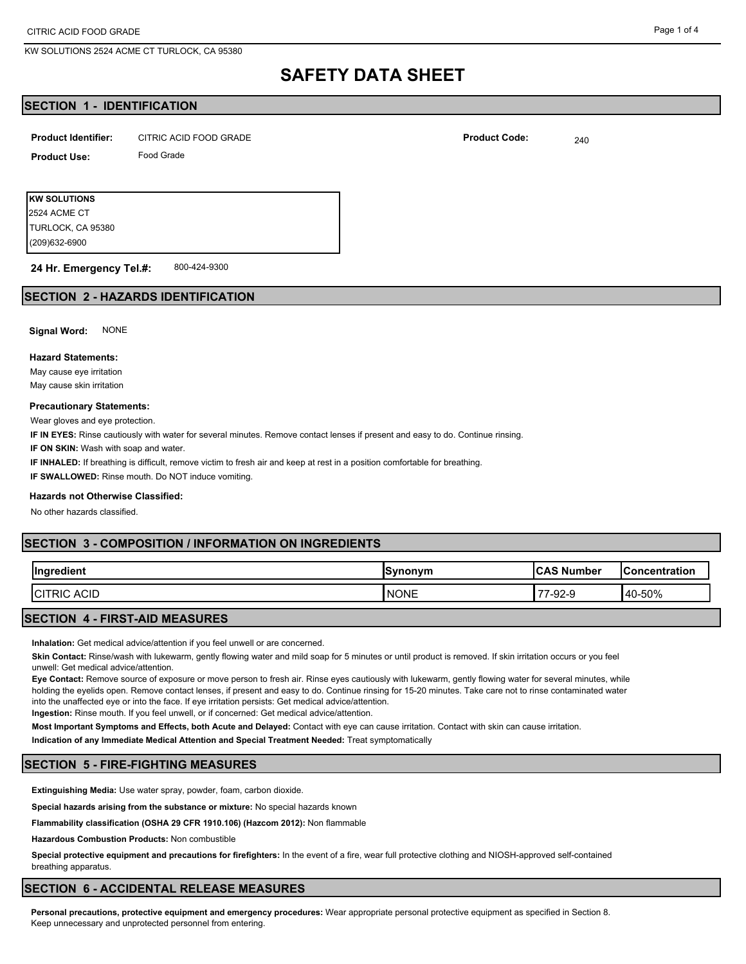#### Page 1 of 4

## **SAFETY DATA SHEET**

## **SECTION 1 - IDENTIFICATION**

| <b>Product Identifier:</b> | CITRIC ACID FOOD GRADE | <b>Product Code:</b> | 240 |
|----------------------------|------------------------|----------------------|-----|
|----------------------------|------------------------|----------------------|-----|

| Product Use: | Food Grade |  |  |  |
|--------------|------------|--|--|--|
|              |            |  |  |  |

**KW SOLUTIONS** (209)632-6900 TURLOCK, CA 95380 2524 ACME CT

800-424-9300 **24 Hr. Emergency Tel.#:**

## **SECTION 2 - HAZARDS IDENTIFICATION**

**Signal Word:** NONE

#### **Hazard Statements:**

May cause eye irritation May cause skin irritation

#### **Precautionary Statements:**

Wear gloves and eye protection.

**IF IN EYES:** Rinse cautiously with water for several minutes. Remove contact lenses if present and easy to do. Continue rinsing.

**IF ON SKIN:** Wash with soap and water.

**IF INHALED:** If breathing is difficult, remove victim to fresh air and keep at rest in a position comfortable for breathing.

**IF SWALLOWED:** Rinse mouth. Do NOT induce vomiting.

#### **Hazards not Otherwise Classified:**

No other hazards classified.

## **SECTION 3 - COMPOSITION / INFORMATION ON INGREDIENTS**

| Ingre<br>$\sim$<br>edient     | <b>ISvnonvm</b><br>⊣ວ⊻ | <b>ICAS Number</b> | <b>IConcentration</b> |
|-------------------------------|------------------------|--------------------|-----------------------|
| <b>ACID</b><br><b>ICITRIC</b> | <b>NONE</b>            | $\sim$<br>'∹স∠-৬   | 40-50%                |

## **SECTION 4 - FIRST-AID MEASURES**

**Inhalation:** Get medical advice/attention if you feel unwell or are concerned.

**Skin Contact:** Rinse/wash with lukewarm, gently flowing water and mild soap for 5 minutes or until product is removed. If skin irritation occurs or you feel unwell: Get medical advice/attention.

**Eye Contact:** Remove source of exposure or move person to fresh air. Rinse eyes cautiously with lukewarm, gently flowing water for several minutes, while holding the eyelids open. Remove contact lenses, if present and easy to do. Continue rinsing for 15-20 minutes. Take care not to rinse contaminated water into the unaffected eye or into the face. If eye irritation persists: Get medical advice/attention.

**Ingestion:** Rinse mouth. If you feel unwell, or if concerned: Get medical advice/attention.

**Most Important Symptoms and Effects, both Acute and Delayed:** Contact with eye can cause irritation. Contact with skin can cause irritation.

**Indication of any Immediate Medical Attention and Special Treatment Needed:** Treat symptomatically

## **SECTION 5 - FIRE-FIGHTING MEASURES**

**Extinguishing Media:** Use water spray, powder, foam, carbon dioxide.

**Special hazards arising from the substance or mixture:** No special hazards known

**Flammability classification (OSHA 29 CFR 1910.106) (Hazcom 2012):** Non flammable

**Hazardous Combustion Products:** Non combustible

**Special protective equipment and precautions for firefighters:** In the event of a fire, wear full protective clothing and NIOSH-approved self-contained breathing apparatus.

## **SECTION 6 - ACCIDENTAL RELEASE MEASURES**

**Personal precautions, protective equipment and emergency procedures:** Wear appropriate personal protective equipment as specified in Section 8. Keep unnecessary and unprotected personnel from entering.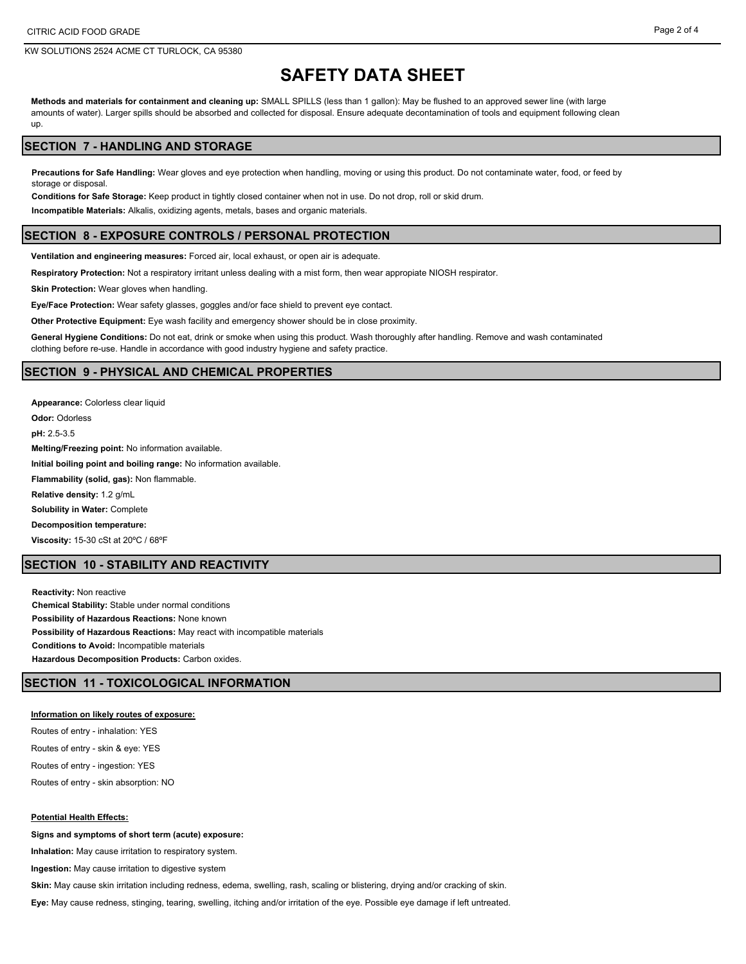#### Page 2 of 4

## **SAFETY DATA SHEET**

**Methods and materials for containment and cleaning up:** SMALL SPILLS (less than 1 gallon): May be flushed to an approved sewer line (with large amounts of water). Larger spills should be absorbed and collected for disposal. Ensure adequate decontamination of tools and equipment following clean up.

## **SECTION 7 - HANDLING AND STORAGE**

**Precautions for Safe Handling:** Wear gloves and eye protection when handling, moving or using this product. Do not contaminate water, food, or feed by storage or disposal.

**Conditions for Safe Storage:** Keep product in tightly closed container when not in use. Do not drop, roll or skid drum.

**Incompatible Materials:** Alkalis, oxidizing agents, metals, bases and organic materials.

#### **SECTION 8 - EXPOSURE CONTROLS / PERSONAL PROTECTION**

**Ventilation and engineering measures:** Forced air, local exhaust, or open air is adequate.

**Respiratory Protection:** Not a respiratory irritant unless dealing with a mist form, then wear appropiate NIOSH respirator.

**Skin Protection:** Wear gloves when handling.

**Eye/Face Protection:** Wear safety glasses, goggles and/or face shield to prevent eye contact.

**Other Protective Equipment:** Eye wash facility and emergency shower should be in close proximity.

**General Hygiene Conditions:** Do not eat, drink or smoke when using this product. Wash thoroughly after handling. Remove and wash contaminated clothing before re-use. Handle in accordance with good industry hygiene and safety practice.

#### **SECTION 9 - PHYSICAL AND CHEMICAL PROPERTIES**

**Appearance:** Colorless clear liquid **Odor:** Odorless **pH:** 2.5-3.5 **Melting/Freezing point:** No information available. **Initial boiling point and boiling range:** No information available. **Flammability (solid, gas):** Non flammable. **Relative density:** 1.2 g/mL **Solubility in Water:** Complete **Decomposition temperature: Viscosity:** 15-30 cSt at 20ºC / 68ºF

## **SECTION 10 - STABILITY AND REACTIVITY**

**Reactivity:** Non reactive **Chemical Stability:** Stable under normal conditions **Possibility of Hazardous Reactions:** None known **Possibility of Hazardous Reactions:** May react with incompatible materials **Conditions to Avoid:** Incompatible materials **Hazardous Decomposition Products:** Carbon oxides.

## **SECTION 11 - TOXICOLOGICAL INFORMATION**

#### **Information on likely routes of exposure:**

Routes of entry - inhalation: YES Routes of entry - skin & eye: YES Routes of entry - ingestion: YES Routes of entry - skin absorption: NO

#### **Potential Health Effects:**

**Signs and symptoms of short term (acute) exposure:**

**Inhalation:** May cause irritation to respiratory system.

**Ingestion:** May cause irritation to digestive system

**Skin:** May cause skin irritation including redness, edema, swelling, rash, scaling or blistering, drying and/or cracking of skin.

**Eye:** May cause redness, stinging, tearing, swelling, itching and/or irritation of the eye. Possible eye damage if left untreated.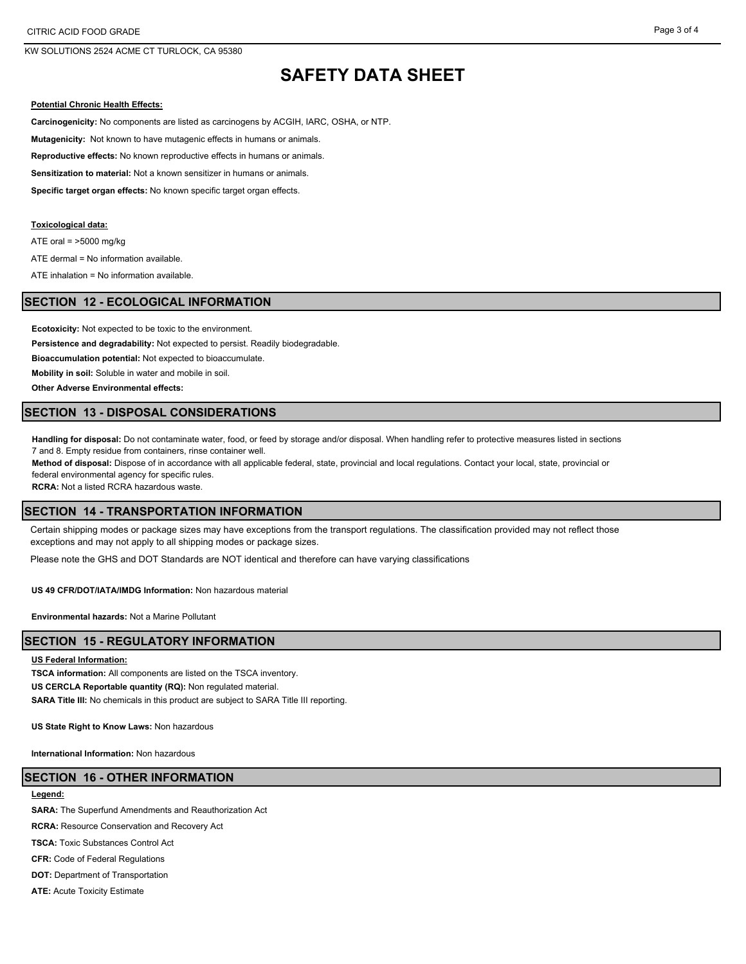# **SAFETY DATA SHEET**

#### **Potential Chronic Health Effects:**

**Carcinogenicity:** No components are listed as carcinogens by ACGIH, IARC, OSHA, or NTP.

**Mutagenicity:** Not known to have mutagenic effects in humans or animals.

**Reproductive effects:** No known reproductive effects in humans or animals.

**Sensitization to material:** Not a known sensitizer in humans or animals.

**Specific target organ effects:** No known specific target organ effects.

#### **Toxicological data:**

ATE oral =  $>5000$  mg/kg

ATE dermal = No information available.

ATE inhalation = No information available.

## **SECTION 12 - ECOLOGICAL INFORMATION**

**Ecotoxicity:** Not expected to be toxic to the environment.

**Persistence and degradability:** Not expected to persist. Readily biodegradable.

**Bioaccumulation potential:** Not expected to bioaccumulate.

**Mobility in soil:** Soluble in water and mobile in soil.

**Other Adverse Environmental effects:**

## **SECTION 13 - DISPOSAL CONSIDERATIONS**

**Handling for disposal:** Do not contaminate water, food, or feed by storage and/or disposal. When handling refer to protective measures listed in sections 7 and 8. Empty residue from containers, rinse container well.

**Method of disposal:** Dispose of in accordance with all applicable federal, state, provincial and local regulations. Contact your local, state, provincial or federal environmental agency for specific rules.

**RCRA:** Not a listed RCRA hazardous waste.

### **SECTION 14 - TRANSPORTATION INFORMATION**

Certain shipping modes or package sizes may have exceptions from the transport regulations. The classification provided may not reflect those exceptions and may not apply to all shipping modes or package sizes.

Please note the GHS and DOT Standards are NOT identical and therefore can have varying classifications

**US 49 CFR/DOT/IATA/IMDG Information:** Non hazardous material

**Environmental hazards:** Not a Marine Pollutant

#### **SECTION 15 - REGULATORY INFORMATION**

#### **US Federal Information:**

**TSCA information:** All components are listed on the TSCA inventory. **US CERCLA Reportable quantity (RQ):** Non regulated material. SARA Title III: No chemicals in this product are subject to SARA Title III reporting.

**US State Right to Know Laws:** Non hazardous

**International Information:** Non hazardous

## **SECTION 16 - OTHER INFORMATION**

#### **Legend:**

**SARA:** The Superfund Amendments and Reauthorization Act

**RCRA:** Resource Conservation and Recovery Act

**TSCA:** Toxic Substances Control Act

**CFR:** Code of Federal Regulations

**DOT:** Department of Transportation

**ATE:** Acute Toxicity Estimate